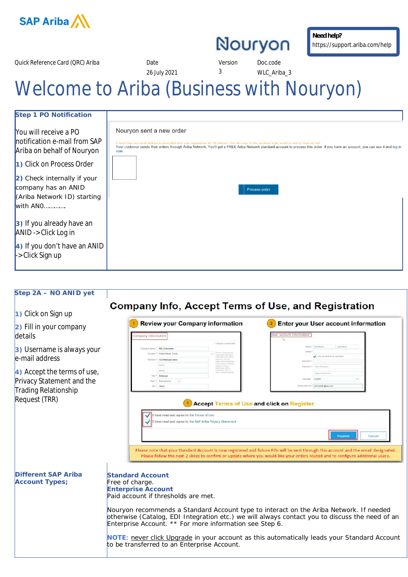

**Need help?** https://support.ariba.com/help

Quick Reference Card (QRC) Ariba Date Date Date Version Doc.code

26 July 2021 3 WLC\_Ariba\_3

## Welcome to Ariba (Business with Nouryon)

| Step 1 PO Notification                                                                                                                                                          |                                                                                                                                                                                                                                                                                                                                                                                                    |
|---------------------------------------------------------------------------------------------------------------------------------------------------------------------------------|----------------------------------------------------------------------------------------------------------------------------------------------------------------------------------------------------------------------------------------------------------------------------------------------------------------------------------------------------------------------------------------------------|
| You will receive a PO<br>Inotification e-mail from SAP<br>Ariba on behalf of Nouryon<br>1) Click on Process Order<br>$\vert$ 2) Check internally if your<br>company has an ANID | Nouryon sent a new order<br>If more than one email address is associated with your organization for PO delivery, then the copy of this purchase order would be sent to them as well.<br>Your customer sends their orders through Ariba Network. You'll get a FREE Ariba Network standard account to process this order. If you have an account, you can use it and log in<br>now.<br>Process order |
| (Ariba Network ID) starting<br>with $ANO$                                                                                                                                       |                                                                                                                                                                                                                                                                                                                                                                                                    |
| $\vert$ 3) If you already have an<br>$ANID \rightarrow Click Log in$                                                                                                            |                                                                                                                                                                                                                                                                                                                                                                                                    |
| $\vert$ 4) If you don't have an ANID<br>-> Click Sign up                                                                                                                        |                                                                                                                                                                                                                                                                                                                                                                                                    |

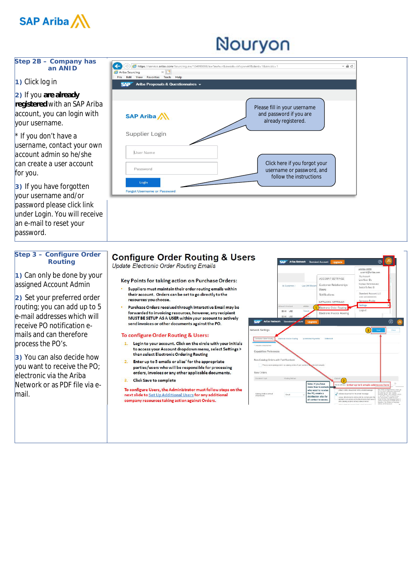

#### **Step 2B – Company has an ANID**

### **1)** Click log in

**2)** If you **are already registered** with an SAP Ariba account, you can login with your username.

*\* If you don't have a username, contact your own account admin so he/she can create a user account for you .*

**3)** If you have forgotten your username and/or password please click link under Login. You will receive an e-mail to reset your password.

#### **Step 3 – Configure Order Routing**

**1)** Can only be done by your assigned Account Admin

**2)** Set your preferred order routing; you can add up to 5 e-mail addresses which will receive PO notification emails and can therefore process the PO's.

**3)** You can also decide how  $\lambda$ vou want to receive the PO; electronic via the Ariba Network or as PDF file via email.



## **Configure Order Routing & Users**

Update Electronic Order Routing Emails

#### Key Points for taking action on Purchase Orders:

- Suppliers must maintain their order routing emails within their account. Orders can be set to go directly to the resources you choose.
- Purchase Orders received through Interactive Email may be forwarded to invoicing resources, however, any recipient<br>MUST BE SETUP AS A USER within your account to actively send invoices or other documents against the PO.

#### To configure Order Routing & Users:

- 1. Login to your account. Click on the circle with your initials to access your Account dropdown menu, select Settings > then select Electronic Ordering Routing
- 2. Enter up to 5 emails or alias' for the appropriate parties/users who will be responsible for processing orders, invoices or any other applicable documents.
- 3. Click Save to complete

To configure Users, the Administrator must follow steps on the next slide to Set Up Additional Users for any additional company resources taking action against Orders.

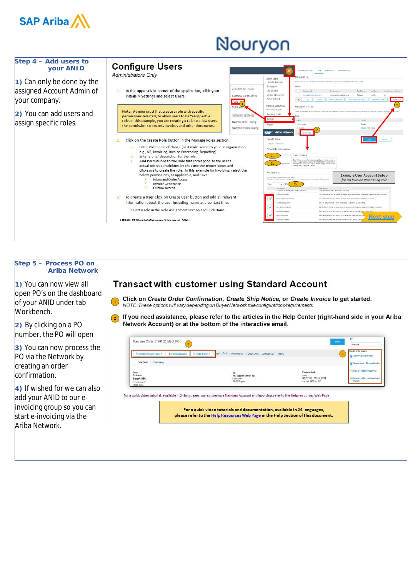

| $\vert$ 1) Can only be done by the<br>assigned Account Admin of | <b>Configure Users</b><br><b>Administrators Only</b><br>In the upper-right corner of the application, click your                                                                                                                                                                                                                                                                                                                                                                                                                                                                                                                                                                                                                                                                                                                              | <b>ACCOUNT SETTINGS</b>                                                   | ARIBA USER<br>userid@ariba.com<br>My Account<br>Link User IDs                                                                                                                                                                                                                                                                                                                                                                     | Accountes uses<br>1 Hard<br><b>NATCRIME</b><br><b>COLOR RESIDENCES</b><br>Manage Users<br>нгеде шара for your Artist econom (Hyou area) are arrail alies, дробу the align overery nerve and above runds<br>Users.<br>Username 6<br><b>Deal Address</b><br><b>First Eleven</b><br>Arthu Discovery Circled<br>1 and Marring                                                                                                                                                                                                                                                                                                                                                                                                                                                        |
|-----------------------------------------------------------------|-----------------------------------------------------------------------------------------------------------------------------------------------------------------------------------------------------------------------------------------------------------------------------------------------------------------------------------------------------------------------------------------------------------------------------------------------------------------------------------------------------------------------------------------------------------------------------------------------------------------------------------------------------------------------------------------------------------------------------------------------------------------------------------------------------------------------------------------------|---------------------------------------------------------------------------|-----------------------------------------------------------------------------------------------------------------------------------------------------------------------------------------------------------------------------------------------------------------------------------------------------------------------------------------------------------------------------------------------------------------------------------|----------------------------------------------------------------------------------------------------------------------------------------------------------------------------------------------------------------------------------------------------------------------------------------------------------------------------------------------------------------------------------------------------------------------------------------------------------------------------------------------------------------------------------------------------------------------------------------------------------------------------------------------------------------------------------------------------------------------------------------------------------------------------------|
| your company.                                                   | initials > Settings and select Users.                                                                                                                                                                                                                                                                                                                                                                                                                                                                                                                                                                                                                                                                                                                                                                                                         | Customer Re lationships<br>Users /<br>Notification                        | Contact Administrator<br>Switch To Test ID<br>Standard Account, LLC<br>AND AND OCCOSOOL                                                                                                                                                                                                                                                                                                                                           | NORTH FOOTWEEPS CONT<br>rebenta novemeBoan con<br>Baseos<br>Create Lister<br>la Ett<br>Outste<br>Add to Contact List<br><b>Ramou free Cristani List</b><br><b>Uses Administrator</b><br>Manage User Roles                                                                                                                                                                                                                                                                                                                                                                                                                                                                                                                                                                        |
| 2) You can add users and<br>assign specific roles.              | Note: Admins must first create a role with specific<br>permissions selected, to allow users to be "assigned" a<br>role. In this example, you are creating a role to allow users<br>the permission to process invoices and other documents.                                                                                                                                                                                                                                                                                                                                                                                                                                                                                                                                                                                                    | NETWORK SETTING<br>Electronic Order Routing<br>Electronic Involce Routing | Company Profile<br>Settings<br>Logout<br>SAP Ariba Network                                                                                                                                                                                                                                                                                                                                                                        | ainces.<br>Administrator<br>Datable<br><b>Datails Eak Datas</b><br><b>MIAYALE</b><br><b>Creste Bale</b>                                                                                                                                                                                                                                                                                                                                                                                                                                                                                                                                                                                                                                                                          |
|                                                                 | Click on the Create Role button in the Manage Roles section<br>Enter Role name of choice (as it make sense to your or organization,<br>$\overline{a}$ .<br>e.g., AR, Invoicing, Invoice Processing, Reporting)<br>Enter a brief description for the role<br>$b_{-}$<br>Add Permissions to the Role that correspond to the user's<br>$c_{\rm r}$<br>actual job responsibilities by checking the proper boxes and<br>click save to create the role. In this example for Invoicing, select the<br>below permissions, as applicable, and Save:<br><b>Inbox and Order Access</b><br><b>Invoice Generation</b><br>Outbox Access<br>To Create a User Click on Create User button and add all relevant<br>$\mathbf{R}$<br>information about the user including name and contact info.<br>Select a role in the Role Assignment section and Click Done. |                                                                           | Create Role<br>* Exterior a regularitat<br>New Role Information<br>2a<br>2 <sub>b</sub><br>Permissions<br>Each rate must have at each one permission.<br>Ungrate your Zena Network, manderd access to be an anteresse excess to available all agreemings<br>Page<br>Ferression<br>respons to postings on Arioa Uiscovers<br>Contract Access<br>sbox and Circler Access<br>Felio Masagement<br>Invoice Generation<br>ognies Access | CAGCHE<br>Invoice Processing<br>Enter Raie name of choice above thou it rasks sense to<br>your or organizations and a description have. Choose the<br>Rettrations below and Sinye. Then assign a role to the<br>Indonesia's users you conste-<br><b>Example User Account Setup</b><br>for an Invoice Processing role<br>Description<br>respons to petergs on Allea Liscovery<br>View contracts and generate involces, as supported by cealomers (requires introx Access)<br>Vaw and search documents in inbox and take actions based on your role<br>Create, activate and delete fallo ranges used for tax invoicing.<br>Generate mythols, its supported by customers stepanics introx and Outbox Access's<br>Perform Legistics actions with lented access to transactions infor |

#### **Step 5 – Process PO on Ariba Network**

**1)** You can now view all open PO's on the dashboard of your ANID under tab Workbench.

**2)** By clicking on a PO number, the PO will open

**3)** You can now process the PO via the Network by creating an order confirmation.

**4)** If wished for we can also add your ANID to our einvoicing group so you can start e-invoicing via the Ariba Network.

### **Transact with customer using Standard Account**

Click on Create Order Confirmation, Create Ship Notice, or Create Invoice to get started.<br>NOTE: These options will vary depending on Buyer Network rule configurations/requirements  $\left( \begin{array}{c} 1 \end{array} \right)$ 

1 If you need assistance, please refer to the articles in the Help Center (right-hand side in your Ariba Network Account) or at the bottom of the interactive email.

|                                        | Create Stab Notice<br>El Create Thome                                                                                                                          | Hide   Print   Download PDF   Export (XML   Download CSV   Resend | $\overline{2}$<br>About PO based invoices                                 |
|----------------------------------------|----------------------------------------------------------------------------------------------------------------------------------------------------------------|-------------------------------------------------------------------|---------------------------------------------------------------------------|
| <b>Order Detail</b><br>Order History   |                                                                                                                                                                |                                                                   | How to create a PO based invoice                                          |
| From:<br>Customer<br><b>BuyerA USA</b> | To:<br>Test supplier SMO 01-TEST<br>Radicka 14                                                                                                                 | Purchase Order<br>0170102 MEG PO1                                 | Fill How do I add a new customer?<br>FRI How do I add an attachment to my |
| Jebenstrasse 7<br>10623 Berlin         | 150 00 Prague                                                                                                                                                  | Amount: \$400.00 USD                                              | Implice?                                                                  |
|                                        |                                                                                                                                                                |                                                                   |                                                                           |
|                                        | For a quick video tutorials and documentation, available in 24 languages,<br>please refer to the Help Resources Web Page in the Help Section of this document. |                                                                   |                                                                           |
|                                        |                                                                                                                                                                |                                                                   |                                                                           |